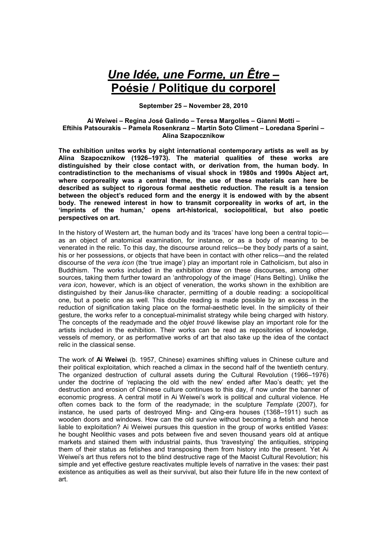## *Une Idée, une Forme, un Être* **– Poésie / Politique du corporel**

**September 25 – November 28, 2010** 

## **Ai Weiwei – Regina José Galindo – Teresa Margolles – Gianni Motti – Eftihis Patsourakis – Pamela Rosenkranz – Martin Soto Climent – Loredana Sperini – Alina Szapocznikow**

**The exhibition unites works by eight international contemporary artists as well as by Alina Szapocznikow (1926–1973). The material qualities of these works are distinguished by their close contact with, or derivation from, the human body. In contradistinction to the mechanisms of visual shock in 1980s and 1990s Abject art, where corporeality was a central theme, the use of these materials can here be described as subject to rigorous formal aesthetic reduction. The result is a tension between the object's reduced form and the energy it is endowed with by the absent body. The renewed interest in how to transmit corporeality in works of art, in the 'imprints of the human,' opens art-historical, sociopolitical, but also poetic perspectives on art.** 

In the history of Western art, the human body and its 'traces' have long been a central topic as an object of anatomical examination, for instance, or as a body of meaning to be venerated in the relic. To this day, the discourse around relics—be they body parts of a saint, his or her possessions, or objects that have been in contact with other relics—and the related discourse of the *vera icon* (the 'true image') play an important role in Catholicism, but also in Buddhism. The works included in the exhibition draw on these discourses, among other sources, taking them further toward an 'anthropology of the image' (Hans Belting). Unlike the *vera icon*, however, which is an object of veneration, the works shown in the exhibition are distinguished by their Janus-like character, permitting of a double reading: a sociopolitical one, but a poetic one as well. This double reading is made possible by an excess in the reduction of signification taking place on the formal-aesthetic level. In the simplicity of their gesture, the works refer to a conceptual-minimalist strategy while being charged with history. The concepts of the readymade and the *objet trouvé* likewise play an important role for the artists included in the exhibition. Their works can be read as repositories of knowledge, vessels of memory, or as performative works of art that also take up the idea of the contact relic in the classical sense.

The work of **Ai Weiwei** (b. 1957, Chinese) examines shifting values in Chinese culture and their political exploitation, which reached a climax in the second half of the twentieth century. The organized destruction of cultural assets during the Cultural Revolution (1966–1976) under the doctrine of 'replacing the old with the new' ended after Mao's death; yet the destruction and erosion of Chinese culture continues to this day, if now under the banner of economic progress. A central motif in Ai Weiwei's work is political and cultural violence. He often comes back to the form of the readymade; in the sculpture *Template* (2007), for instance, he used parts of destroyed Ming- and Qing-era houses (1368–1911) such as wooden doors and windows. How can the old survive without becoming a fetish and hence liable to exploitation? Ai Weiwei pursues this question in the group of works entitled *Vases*: he bought Neolithic vases and pots between five and seven thousand years old at antique markets and stained them with industrial paints, thus 'travestying' the antiquities, stripping them of their status as fetishes and transposing them from history into the present. Yet Ai Weiwei's art thus refers not to the blind destructive rage of the Maoist Cultural Revolution; his simple and yet effective gesture reactivates multiple levels of narrative in the vases: their past existence as antiquities as well as their survival, but also their future life in the new context of art.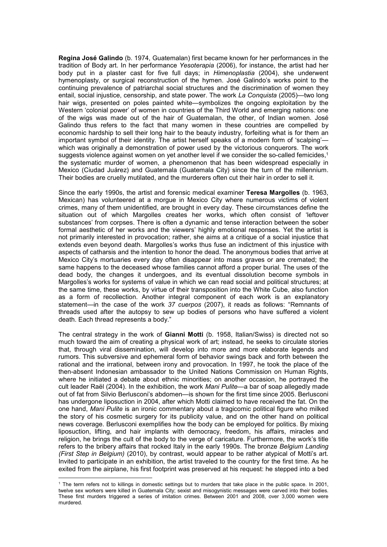**Regina José Galindo** (b. 1974, Guatemalan) first became known for her performances in the tradition of Body art. In her performance *Yesoterapia* (2006), for instance, the artist had her body put in a plaster cast for five full days; in *Himenoplastia* (2004), she underwent hymenoplasty, or surgical reconstruction of the hymen. José Galindo's works point to the continuing prevalence of patriarchal social structures and the discrimination of women they entail, social injustice, censorship, and state power. The work *La Conquista* (2005)—two long hair wigs, presented on poles painted white—symbolizes the ongoing exploitation by the Western 'colonial power' of women in countries of the Third World and emerging nations: one of the wigs was made out of the hair of Guatemalan, the other, of Indian women. José Galindo thus refers to the fact that many women in these countries are compelled by economic hardship to sell their long hair to the beauty industry, forfeiting what is for them an important symbol of their identity. The artist herself speaks of a modern form of 'scalping' which was originally a demonstration of power used by the victorious conquerors. The work suggests violence against women on yet another level if we consider the so-called femicides,<sup>1</sup> the systematic murder of women, a phenomenon that has been widespread especially in Mexico (Ciudad Juárez) and Guatemala (Guatemala City) since the turn of the millennium. Their bodies are cruelly mutilated, and the murderers often cut their hair in order to sell it.

Since the early 1990s, the artist and forensic medical examiner **Teresa Margolles** (b. 1963, Mexican) has volunteered at a morgue in Mexico City where numerous victims of violent crimes, many of them unidentified, are brought in every day. These circumstances define the situation out of which Margolles creates her works, which often consist of 'leftover substances' from corpses. There is often a dynamic and tense interaction between the sober formal aesthetic of her works and the viewers' highly emotional responses. Yet the artist is not primarily interested in provocation; rather, she aims at a critique of a social injustice that extends even beyond death. Margolles's works thus fuse an indictment of this injustice with aspects of catharsis and the intention to honor the dead. The anonymous bodies that arrive at Mexico City's mortuaries every day often disappear into mass graves or are cremated; the same happens to the deceased whose families cannot afford a proper burial. The uses of the dead body, the changes it undergoes, and its eventual dissolution become symbols in Margolles's works for systems of value in which we can read social and political structures; at the same time, these works, by virtue of their transposition into the White Cube, also function as a form of recollection. Another integral component of each work is an explanatory statement—in the case of the work *37 cuerpos* (2007), it reads as follows: "Remnants of threads used after the autopsy to sew up bodies of persons who have suffered a violent death. Each thread represents a body."

The central strategy in the work of **Gianni Motti** (b. 1958, Italian/Swiss) is directed not so much toward the aim of creating a physical work of art; instead, he seeks to circulate stories that, through viral dissemination, will develop into more and more elaborate legends and rumors. This subversive and ephemeral form of behavior swings back and forth between the rational and the irrational, between irony and provocation. In 1997, he took the place of the then-absent Indonesian ambassador to the United Nations Commission on Human Rights, where he initiated a debate about ethnic minorities; on another occasion, he portrayed the cult leader Raël (2004). In the exhibition, the work *Mani Pulite*—a bar of soap allegedly made out of fat from Silvio Berlusconi's abdomen—is shown for the first time since 2005. Berlusconi has undergone liposuction in 2004, after which Motti claimed to have received the fat. On the one hand, *Mani Pulite* is an ironic commentary about a tragicomic political figure who milked the story of his cosmetic surgery for its publicity value, and on the other hand on political news coverage. Berlusconi exemplifies how the body can be employed for politics. By mixing liposuction, lifting, and hair implants with democracy, freedom, his affairs, miracles and religion, he brings the cult of the body to the verge of caricature. Furthermore, the work's title refers to the bribery affairs that rocked Italy in the early 1990s. The bronze *Belgium Landing (First Step in Belgium)* (2010), by contrast, would appear to be rather atypical of Motti's art. Invited to participate in an exhibition, the artist traveled to the country for the first time. As he exited from the airplane, his first footprint was preserved at his request: he stepped into a bed  $\overline{a}$ 

<sup>1</sup> The term refers not to killings in domestic settings but to murders that take place in the public space. In 2001, twelve sex workers were killed in Guatemala City; sexist and misogynistic messages were carved into their bodies. These first murders triggered a series of imitation crimes. Between 2001 and 2008, over 3,000 women were murdered.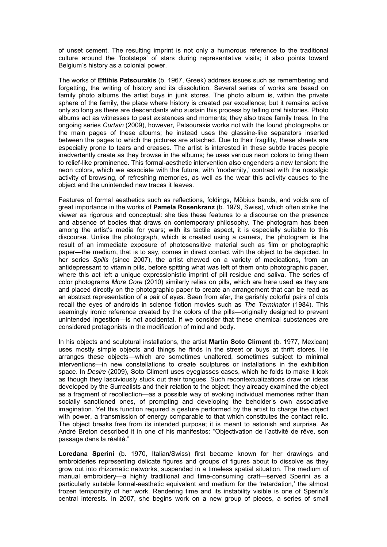of unset cement. The resulting imprint is not only a humorous reference to the traditional culture around the 'footsteps' of stars during representative visits; it also points toward Belgium's history as a colonial power.

The works of **Eftihis Patsourakis** (b. 1967, Greek) address issues such as remembering and forgetting, the writing of history and its dissolution. Several series of works are based on family photo albums the artist buys in junk stores. The photo album is, within the private sphere of the family, the place where history is created par excellence; but it remains active only so long as there are descendants who sustain this process by telling oral histories. Photo albums act as witnesses to past existences and moments; they also trace family trees. In the ongoing series *Curtain* (2009), however, Patsourakis works not with the found photographs or the main pages of these albums; he instead uses the glassine-like separators inserted between the pages to which the pictures are attached. Due to their fragility, these sheets are especially prone to tears and creases. The artist is interested in these subtle traces people inadvertently create as they browse in the albums; he uses various neon colors to bring them to relief-like prominence. This formal-aesthetic intervention also engenders a new tension: the neon colors, which we associate with the future, with 'modernity,' contrast with the nostalgic activity of browsing, of refreshing memories, as well as the wear this activity causes to the object and the unintended new traces it leaves.

Features of formal aesthetics such as reflections, foldings, Möbius bands, and voids are of great importance in the works of **Pamela Rosenkranz** (b. 1979, Swiss), which often strike the viewer as rigorous and conceptual: she ties these features to a discourse on the presence and absence of bodies that draws on contemporary philosophy. The photogram has been among the artist's media for years; with its tactile aspect, it is especially suitable to this discourse. Unlike the photograph, which is created using a camera, the photogram is the result of an immediate exposure of photosensitive material such as film or photographic paper—the medium, that is to say, comes in direct contact with the object to be depicted. In her series *Spills* (since 2007), the artist chewed on a variety of medications, from an antidepressant to vitamin pills, before spitting what was left of them onto photographic paper, where this act left a unique expressionistic imprint of pill residue and saliva. The series of color photograms *More Core* (2010) similarly relies on pills, which are here used as they are and placed directly on the photographic paper to create an arrangement that can be read as an abstract representation of a pair of eyes. Seen from afar, the garishly colorful pairs of dots recall the eyes of androids in science fiction movies such as *The Terminator* (1984). This seemingly ironic reference created by the colors of the pills—originally designed to prevent unintended ingestion—is not accidental, if we consider that these chemical substances are considered protagonists in the modification of mind and body.

In his objects and sculptural installations, the artist **Martin Soto Climent** (b. 1977, Mexican) uses mostly simple objects and things he finds in the street or buys at thrift stores. He arranges these objects—which are sometimes unaltered, sometimes subject to minimal interventions—in new constellations to create sculptures or installations in the exhibition space. In *Desire* (2009), Soto Climent uses eyeglasses cases, which he folds to make it look as though they lasciviously stuck out their tongues. Such recontextualizations draw on ideas developed by the Surrealists and their relation to the object: they already examined the object as a fragment of recollection—as a possible way of evoking individual memories rather than socially sanctioned ones, of prompting and developing the beholder's own associative imagination. Yet this function required a gesture performed by the artist to charge the object with power, a transmission of energy comparable to that which constitutes the contact relic. The object breaks free from its intended purpose; it is meant to astonish and surprise. As André Breton described it in one of his manifestos: "Objectivation de l'activité de rêve, son passage dans la réalité."

**Loredana Sperini** (b. 1970, Italian/Swiss) first became known for her drawings and embroideries representing delicate figures and groups of figures about to dissolve as they grow out into rhizomatic networks, suspended in a timeless spatial situation. The medium of manual embroidery—a highly traditional and time-consuming craft—served Sperini as a particularly suitable formal-aesthetic equivalent and medium for the 'retardation,' the almost frozen temporality of her work. Rendering time and its instability visible is one of Sperini's central interests. In 2007, she begins work on a new group of pieces, a series of small